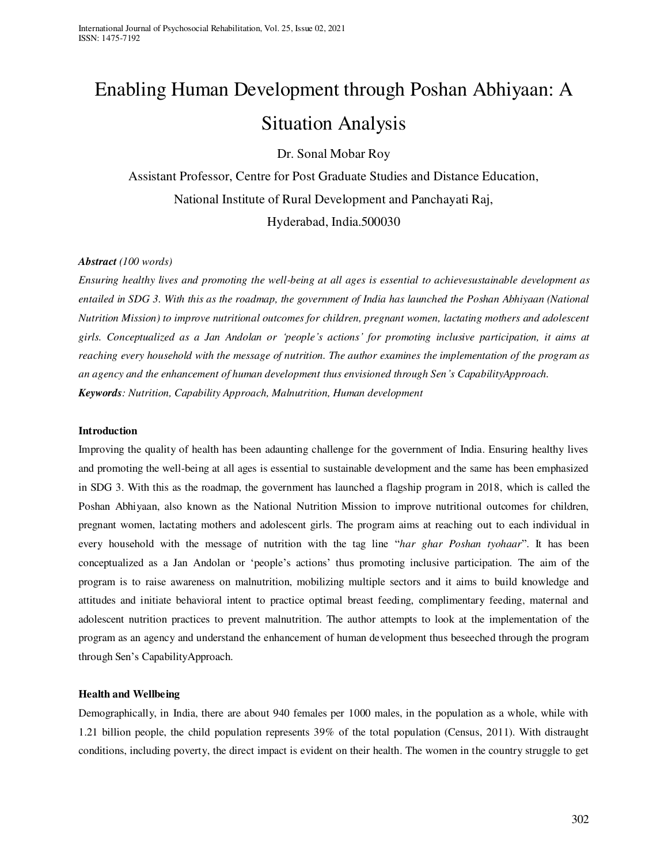# Enabling Human Development through Poshan Abhiyaan: A Situation Analysis

Dr. Sonal Mobar Roy

Assistant Professor, Centre for Post Graduate Studies and Distance Education, National Institute of Rural Development and Panchayati Raj, Hyderabad, India.500030

# *Abstract (100 words)*

*Ensuring healthy lives and promoting the well-being at all ages is essential to achievesustainable development as entailed in SDG 3. With this as the roadmap, the government of India has launched the Poshan Abhiyaan (National Nutrition Mission) to improve nutritional outcomes for children, pregnant women, lactating mothers and adolescent girls. Conceptualized as a Jan Andolan or 'people's actions' for promoting inclusive participation, it aims at reaching every household with the message of nutrition. The author examines the implementation of the program as an agency and the enhancement of human development thus envisioned through Sen's CapabilityApproach. Keywords: Nutrition, Capability Approach, Malnutrition, Human development* 

## **Introduction**

Improving the quality of health has been adaunting challenge for the government of India. Ensuring healthy lives and promoting the well-being at all ages is essential to sustainable development and the same has been emphasized in SDG 3. With this as the roadmap, the government has launched a flagship program in 2018, which is called the Poshan Abhiyaan, also known as the National Nutrition Mission to improve nutritional outcomes for children, pregnant women, lactating mothers and adolescent girls. The program aims at reaching out to each individual in every household with the message of nutrition with the tag line "*har ghar Poshan tyohaar*". It has been conceptualized as a Jan Andolan or 'people's actions' thus promoting inclusive participation. The aim of the program is to raise awareness on malnutrition, mobilizing multiple sectors and it aims to build knowledge and attitudes and initiate behavioral intent to practice optimal breast feeding, complimentary feeding, maternal and adolescent nutrition practices to prevent malnutrition. The author attempts to look at the implementation of the program as an agency and understand the enhancement of human development thus beseeched through the program through Sen's CapabilityApproach.

# **Health and Wellbeing**

Demographically, in India, there are about 940 females per 1000 males, in the population as a whole, while with 1.21 billion people, the child population represents 39% of the total population (Census, 2011). With distraught conditions, including poverty, the direct impact is evident on their health. The women in the country struggle to get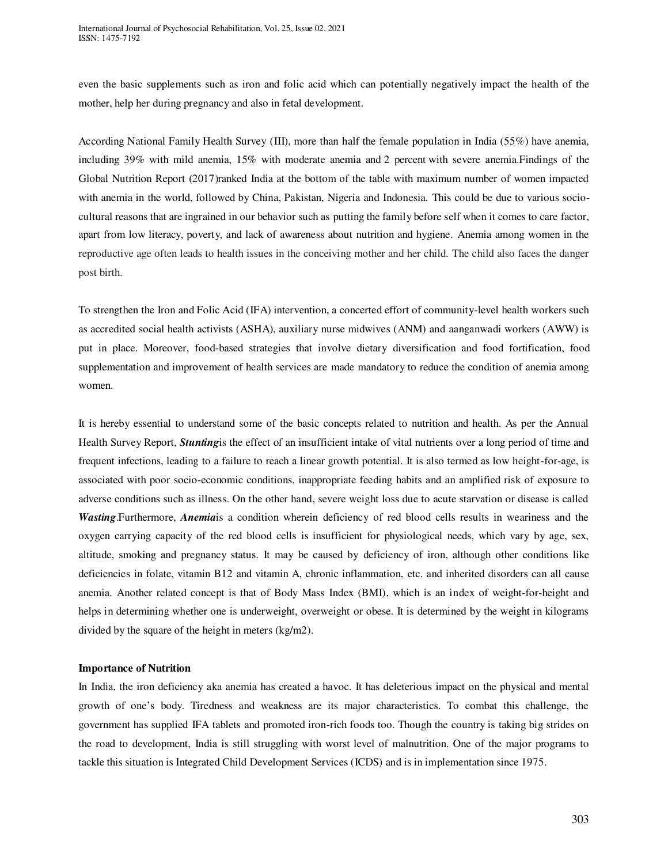even the basic supplements such as iron and folic acid which can potentially negatively impact the health of the mother, help her during pregnancy and also in fetal development.

According National Family Health Survey (III), more than half the female population in India (55%) have anemia, including 39% with mild anemia, 15% with moderate anemia and 2 percent with severe anemia.Findings of the Global Nutrition Report (2017)ranked India at the bottom of the table with maximum number of women impacted with anemia in the world, followed by China, Pakistan, Nigeria and Indonesia. This could be due to various sociocultural reasons that are ingrained in our behavior such as putting the family before self when it comes to care factor, apart from low literacy, poverty, and lack of awareness about nutrition and hygiene. Anemia among women in the reproductive age often leads to health issues in the conceiving mother and her child. The child also faces the danger post birth.

To strengthen the Iron and Folic Acid (IFA) intervention, a concerted effort of community-level health workers such as accredited social health activists (ASHA), auxiliary nurse midwives (ANM) and aanganwadi workers (AWW) is put in place. Moreover, food-based strategies that involve dietary diversification and food fortification, food supplementation and improvement of health services are made mandatory to reduce the condition of anemia among women.

It is hereby essential to understand some of the basic concepts related to nutrition and health. As per the Annual Health Survey Report, *Stunting*is the effect of an insufficient intake of vital nutrients over a long period of time and frequent infections, leading to a failure to reach a linear growth potential. It is also termed as low height-for-age, is associated with poor socio-economic conditions, inappropriate feeding habits and an amplified risk of exposure to adverse conditions such as illness. On the other hand, severe weight loss due to acute starvation or disease is called *Wasting*.Furthermore, *Anemia*is a condition wherein deficiency of red blood cells results in weariness and the oxygen carrying capacity of the red blood cells is insufficient for physiological needs, which vary by age, sex, altitude, smoking and pregnancy status. It may be caused by deficiency of iron, although other conditions like deficiencies in folate, vitamin B12 and vitamin A, chronic inflammation, etc. and inherited disorders can all cause anemia. Another related concept is that of Body Mass Index (BMI), which is an index of weight-for-height and helps in determining whether one is underweight, overweight or obese. It is determined by the weight in kilograms divided by the square of the height in meters (kg/m2).

#### **Importance of Nutrition**

In India, the iron deficiency aka anemia has created a havoc. It has deleterious impact on the physical and mental growth of one's body. Tiredness and weakness are its major characteristics. To combat this challenge, the government has supplied IFA tablets and promoted iron-rich foods too. Though the country is taking big strides on the road to development, India is still struggling with worst level of malnutrition. One of the major programs to tackle this situation is Integrated Child Development Services (ICDS) and is in implementation since 1975.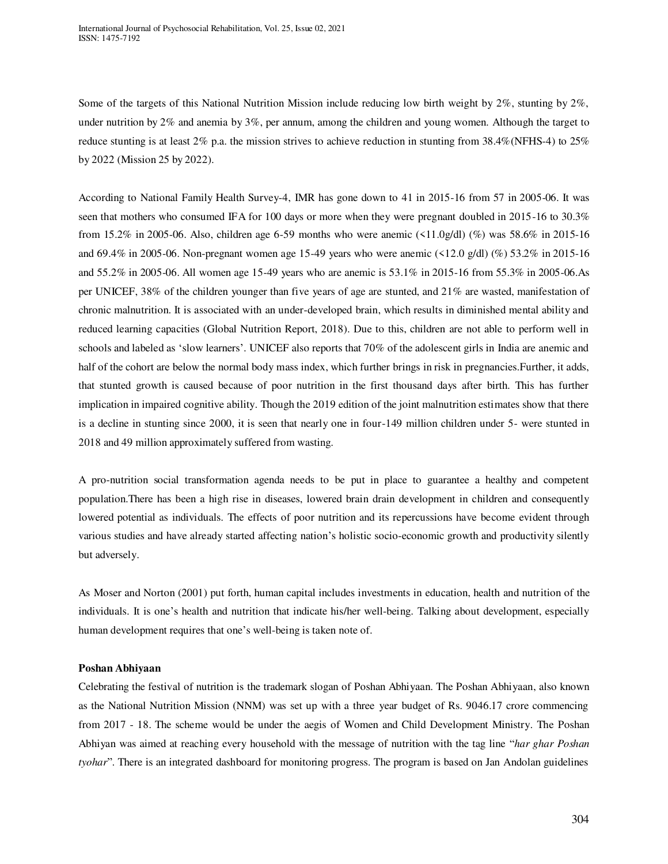Some of the targets of this National Nutrition Mission include reducing low birth weight by 2%, stunting by 2%, under nutrition by 2% and anemia by 3%, per annum, among the children and young women. Although the target to reduce stunting is at least 2% p.a. the mission strives to achieve reduction in stunting from 38.4%(NFHS-4) to 25% by 2022 (Mission 25 by 2022).

According to National Family Health Survey-4, IMR has gone down to 41 in 2015-16 from 57 in 2005-06. It was seen that mothers who consumed IFA for 100 days or more when they were pregnant doubled in 2015-16 to 30.3% from 15.2% in 2005-06. Also, children age 6-59 months who were anemic (<11.0g/dl) (%) was 58.6% in 2015-16 and 69.4% in 2005-06. Non-pregnant women age 15-49 years who were anemic (<12.0 g/dl) (%) 53.2% in 2015-16 and 55.2% in 2005-06. All women age 15-49 years who are anemic is 53.1% in 2015-16 from 55.3% in 2005-06.As per UNICEF, 38% of the children younger than five years of age are stunted, and 21% are wasted, manifestation of chronic malnutrition. It is associated with an under-developed brain, which results in diminished mental ability and reduced learning capacities (Global Nutrition Report, 2018). Due to this, children are not able to perform well in schools and labeled as 'slow learners'. UNICEF also reports that 70% of the adolescent girls in India are anemic and half of the cohort are below the normal body mass index, which further brings in risk in pregnancies. Further, it adds, that stunted growth is caused because of poor nutrition in the first thousand days after birth. This has further implication in impaired cognitive ability. Though the 2019 edition of the joint malnutrition estimates show that there is a decline in stunting since 2000, it is seen that nearly one in four-149 million children under 5- were stunted in 2018 and 49 million approximately suffered from wasting.

A pro-nutrition social transformation agenda needs to be put in place to guarantee a healthy and competent population.There has been a high rise in diseases, lowered brain drain development in children and consequently lowered potential as individuals. The effects of poor nutrition and its repercussions have become evident through various studies and have already started affecting nation's holistic socio-economic growth and productivity silently but adversely.

As Moser and Norton (2001) put forth, human capital includes investments in education, health and nutrition of the individuals. It is one's health and nutrition that indicate his/her well-being. Talking about development, especially human development requires that one's well-being is taken note of.

#### **Poshan Abhiyaan**

Celebrating the festival of nutrition is the trademark slogan of Poshan Abhiyaan. The Poshan Abhiyaan, also known as the National Nutrition Mission (NNM) was set up with a three year budget of Rs. 9046.17 crore commencing from 2017 - 18. The scheme would be under the aegis of Women and Child Development Ministry. The Poshan Abhiyan was aimed at reaching every household with the message of nutrition with the tag line "*har ghar Poshan tyohar*". There is an integrated dashboard for monitoring progress. The program is based on Jan Andolan guidelines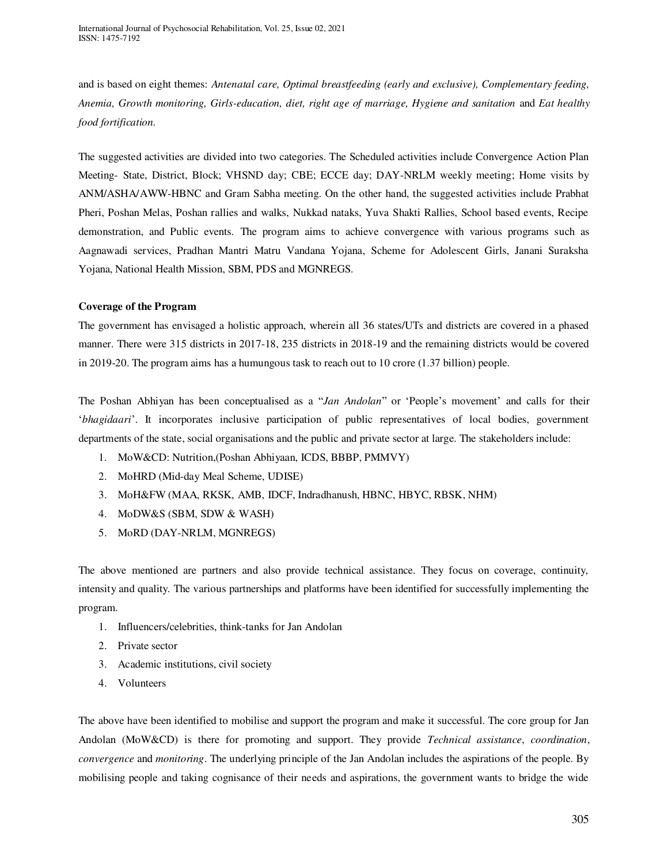and is based on eight themes: *Antenatal care, Optimal breastfeeding (early and exclusive), Complementary feeding, Anemia, Growth monitoring, Girls-education, diet, right age of marriage, Hygiene and sanitation* and *Eat healthy food fortification.* 

The suggested activities are divided into two categories. The Scheduled activities include Convergence Action Plan Meeting- State, District, Block; VHSND day; CBE; ECCE day; DAY-NRLM weekly meeting; Home visits by ANM/ASHA/AWW-HBNC and Gram Sabha meeting. On the other hand, the suggested activities include Prabhat Pheri, Poshan Melas, Poshan rallies and walks, Nukkad nataks, Yuva Shakti Rallies, School based events, Recipe demonstration, and Public events. The program aims to achieve convergence with various programs such as Aagnawadi services, Pradhan Mantri Matru Vandana Yojana, Scheme for Adolescent Girls, Janani Suraksha Yojana, National Health Mission, SBM, PDS and MGNREGS.

# **Coverage of the Program**

The government has envisaged a holistic approach, wherein all 36 states/UTs and districts are covered in a phased manner. There were 315 districts in 2017-18, 235 districts in 2018-19 and the remaining districts would be covered in 2019-20. The program aims has a humungous task to reach out to 10 crore (1.37 billion) people.

The Poshan Abhiyan has been conceptualised as a "*Jan Andolan*" or 'People's movement' and calls for their '*bhagidaari*'. It incorporates inclusive participation of public representatives of local bodies, government departments of the state, social organisations and the public and private sector at large. The stakeholders include:

- 1. MoW&CD: Nutrition,(Poshan Abhiyaan, ICDS, BBBP, PMMVY)
- 2. MoHRD (Mid-day Meal Scheme, UDISE)
- 3. MoH&FW (MAA, RKSK, AMB, IDCF, Indradhanush, HBNC, HBYC, RBSK, NHM)
- 4. MoDW&S (SBM, SDW & WASH)
- 5. MoRD (DAY-NRLM, MGNREGS)

The above mentioned are partners and also provide technical assistance. They focus on coverage, continuity, intensity and quality. The various partnerships and platforms have been identified for successfully implementing the program.

- 1. Influencers/celebrities, think-tanks for Jan Andolan
- 2. Private sector
- 3. Academic institutions, civil society
- 4. Volunteers

The above have been identified to mobilise and support the program and make it successful. The core group for Jan Andolan (MoW&CD) is there for promoting and support. They provide *Technical assistance*, *coordination*, *convergence* and *monitoring*. The underlying principle of the Jan Andolan includes the aspirations of the people. By mobilising people and taking cognisance of their needs and aspirations, the government wants to bridge the wide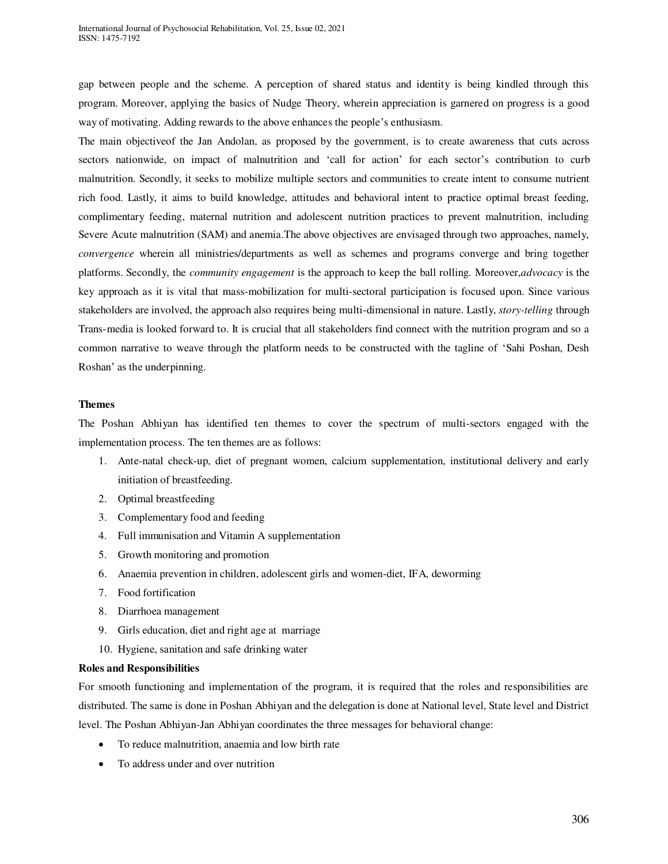gap between people and the scheme. A perception of shared status and identity is being kindled through this program. Moreover, applying the basics of Nudge Theory, wherein appreciation is garnered on progress is a good way of motivating. Adding rewards to the above enhances the people's enthusiasm.

The main objectiveof the Jan Andolan, as proposed by the government, is to create awareness that cuts across sectors nationwide, on impact of malnutrition and 'call for action' for each sector's contribution to curb malnutrition. Secondly, it seeks to mobilize multiple sectors and communities to create intent to consume nutrient rich food. Lastly, it aims to build knowledge, attitudes and behavioral intent to practice optimal breast feeding, complimentary feeding, maternal nutrition and adolescent nutrition practices to prevent malnutrition, including Severe Acute malnutrition (SAM) and anemia.The above objectives are envisaged through two approaches, namely, *convergence* wherein all ministries/departments as well as schemes and programs converge and bring together platforms. Secondly, the *community engagement* is the approach to keep the ball rolling. Moreover,*advocacy* is the key approach as it is vital that mass-mobilization for multi-sectoral participation is focused upon. Since various stakeholders are involved, the approach also requires being multi-dimensional in nature. Lastly, *story-telling* through Trans-media is looked forward to. It is crucial that all stakeholders find connect with the nutrition program and so a common narrative to weave through the platform needs to be constructed with the tagline of 'Sahi Poshan, Desh Roshan' as the underpinning.

## **Themes**

The Poshan Abhiyan has identified ten themes to cover the spectrum of multi-sectors engaged with the implementation process. The ten themes are as follows:

- 1. Ante-natal check-up, diet of pregnant women, calcium supplementation, institutional delivery and early initiation of breastfeeding.
- 2. Optimal breastfeeding
- 3. Complementary food and feeding
- 4. Full immunisation and Vitamin A supplementation
- 5. Growth monitoring and promotion
- 6. Anaemia prevention in children, adolescent girls and women-diet, IFA, deworming
- 7. Food fortification
- 8. Diarrhoea management
- 9. Girls education, diet and right age at marriage
- 10. Hygiene, sanitation and safe drinking water

#### **Roles and Responsibilities**

For smooth functioning and implementation of the program, it is required that the roles and responsibilities are distributed. The same is done in Poshan Abhiyan and the delegation is done at National level, State level and District level. The Poshan Abhiyan-Jan Abhiyan coordinates the three messages for behavioral change:

- To reduce malnutrition, anaemia and low birth rate
- To address under and over nutrition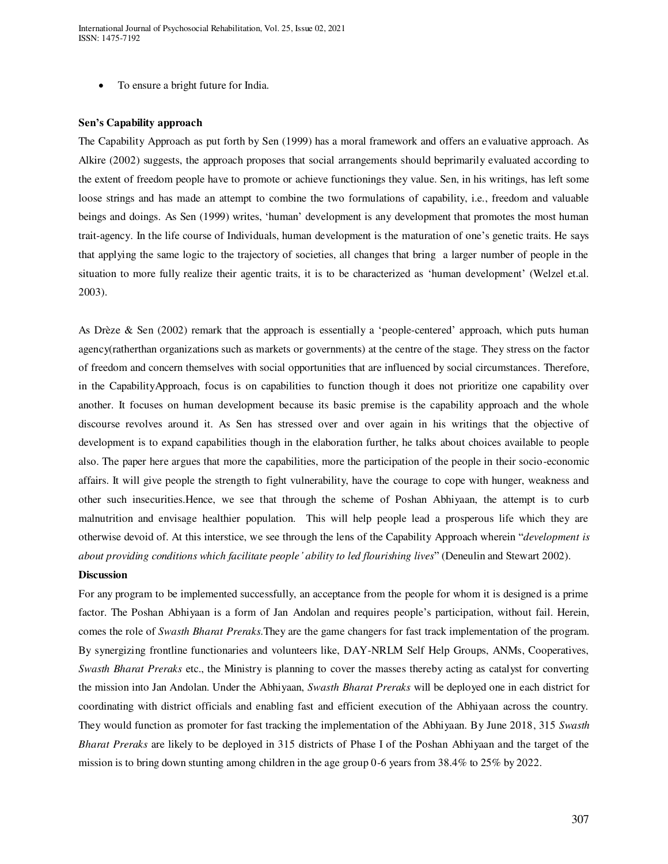To ensure a bright future for India.

#### **Sen's Capability approach**

The Capability Approach as put forth by Sen (1999) has a moral framework and offers an evaluative approach. As Alkire (2002) suggests, the approach proposes that social arrangements should beprimarily evaluated according to the extent of freedom people have to promote or achieve functionings they value. Sen, in his writings, has left some loose strings and has made an attempt to combine the two formulations of capability, i.e., freedom and valuable beings and doings. As Sen (1999) writes, 'human' development is any development that promotes the most human trait-agency. In the life course of Individuals, human development is the maturation of one's genetic traits. He says that applying the same logic to the trajectory of societies, all changes that bring a larger number of people in the situation to more fully realize their agentic traits, it is to be characterized as 'human development' (Welzel et.al. 2003).

As Drèze & Sen (2002) remark that the approach is essentially a 'people-centered' approach, which puts human agency(ratherthan organizations such as markets or governments) at the centre of the stage. They stress on the factor of freedom and concern themselves with social opportunities that are influenced by social circumstances. Therefore, in the CapabilityApproach, focus is on capabilities to function though it does not prioritize one capability over another. It focuses on human development because its basic premise is the capability approach and the whole discourse revolves around it. As Sen has stressed over and over again in his writings that the objective of development is to expand capabilities though in the elaboration further, he talks about choices available to people also. The paper here argues that more the capabilities, more the participation of the people in their socio-economic affairs. It will give people the strength to fight vulnerability, have the courage to cope with hunger, weakness and other such insecurities.Hence, we see that through the scheme of Poshan Abhiyaan, the attempt is to curb malnutrition and envisage healthier population. This will help people lead a prosperous life which they are otherwise devoid of. At this interstice, we see through the lens of the Capability Approach wherein "*development is about providing conditions which facilitate people' ability to led flourishing lives*" (Deneulin and Stewart 2002).

#### **Discussion**

For any program to be implemented successfully, an acceptance from the people for whom it is designed is a prime factor. The Poshan Abhiyaan is a form of Jan Andolan and requires people's participation, without fail. Herein, comes the role of *Swasth Bharat Preraks.*They are the game changers for fast track implementation of the program. By synergizing frontline functionaries and volunteers like, DAY-NRLM Self Help Groups, ANMs, Cooperatives, *Swasth Bharat Preraks* etc., the Ministry is planning to cover the masses thereby acting as catalyst for converting the mission into Jan Andolan. Under the Abhiyaan, *Swasth Bharat Preraks* will be deployed one in each district for coordinating with district officials and enabling fast and efficient execution of the Abhiyaan across the country. They would function as promoter for fast tracking the implementation of the Abhiyaan. By June 2018, 315 *Swasth Bharat Preraks* are likely to be deployed in 315 districts of Phase I of the Poshan Abhiyaan and the target of the mission is to bring down stunting among children in the age group 0-6 years from 38.4% to 25% by 2022.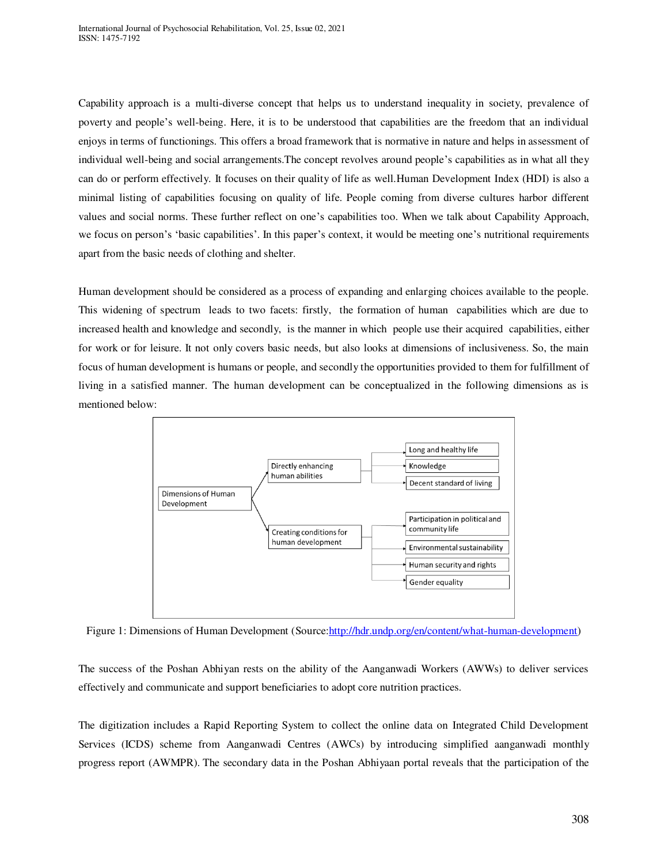Capability approach is a multi-diverse concept that helps us to understand inequality in society, prevalence of poverty and people's well-being. Here, it is to be understood that capabilities are the freedom that an individual enjoys in terms of functionings. This offers a broad framework that is normative in nature and helps in assessment of individual well-being and social arrangements.The concept revolves around people's capabilities as in what all they can do or perform effectively. It focuses on their quality of life as well.Human Development Index (HDI) is also a minimal listing of capabilities focusing on quality of life. People coming from diverse cultures harbor different values and social norms. These further reflect on one's capabilities too. When we talk about Capability Approach, we focus on person's 'basic capabilities'. In this paper's context, it would be meeting one's nutritional requirements apart from the basic needs of clothing and shelter.

Human development should be considered as a process of expanding and enlarging choices available to the people. This widening of spectrum leads to two facets: firstly, the formation of human capabilities which are due to increased health and knowledge and secondly, is the manner in which people use their acquired capabilities, either for work or for leisure. It not only covers basic needs, but also looks at dimensions of inclusiveness. So, the main focus of human development is humans or people, and secondly the opportunities provided to them for fulfillment of living in a satisfied manner. The human development can be conceptualized in the following dimensions as is mentioned below:



Figure 1: Dimensions of Human Development (Source: http://hdr.undp.org/en/content/what-human-development)

The success of the Poshan Abhiyan rests on the ability of the Aanganwadi Workers (AWWs) to deliver services effectively and communicate and support beneficiaries to adopt core nutrition practices.

The digitization includes a Rapid Reporting System to collect the online data on Integrated Child Development Services (ICDS) scheme from Aanganwadi Centres (AWCs) by introducing simplified aanganwadi monthly progress report (AWMPR). The secondary data in the Poshan Abhiyaan portal reveals that the participation of the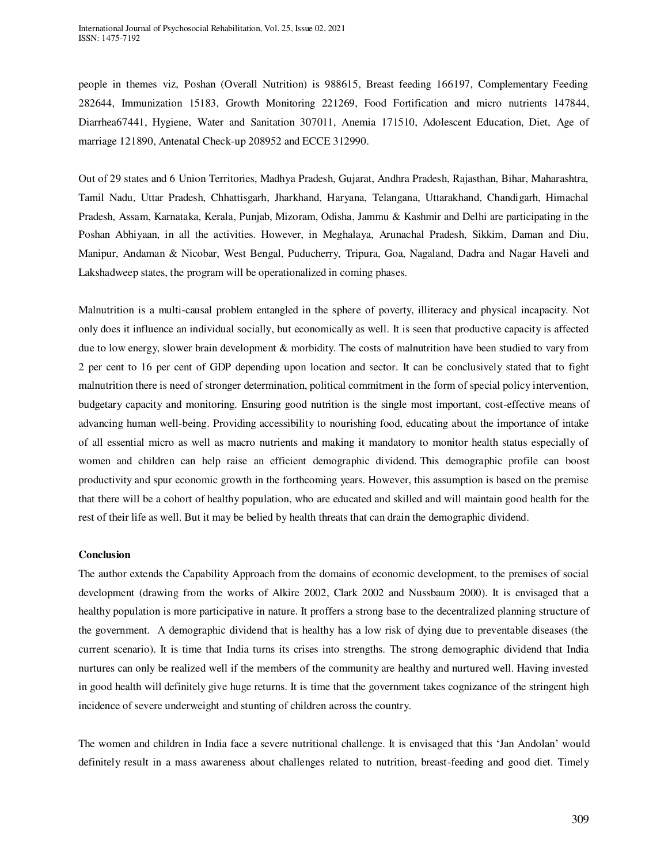people in themes viz, Poshan (Overall Nutrition) is 988615, Breast feeding 166197, Complementary Feeding 282644, Immunization 15183, Growth Monitoring 221269, Food Fortification and micro nutrients 147844, Diarrhea67441, Hygiene, Water and Sanitation 307011, Anemia 171510, Adolescent Education, Diet, Age of marriage 121890, Antenatal Check-up 208952 and ECCE 312990.

Out of 29 states and 6 Union Territories, Madhya Pradesh, Gujarat, Andhra Pradesh, Rajasthan, Bihar, Maharashtra, Tamil Nadu, Uttar Pradesh, Chhattisgarh, Jharkhand, Haryana, Telangana, Uttarakhand, Chandigarh, Himachal Pradesh, Assam, Karnataka, Kerala, Punjab, Mizoram, Odisha, Jammu & Kashmir and Delhi are participating in the Poshan Abhiyaan, in all the activities. However, in Meghalaya, Arunachal Pradesh, Sikkim, Daman and Diu, Manipur, Andaman & Nicobar, West Bengal, Puducherry, Tripura, Goa, Nagaland, Dadra and Nagar Haveli and Lakshadweep states, the program will be operationalized in coming phases.

Malnutrition is a multi-causal problem entangled in the sphere of poverty, illiteracy and physical incapacity. Not only does it influence an individual socially, but economically as well. It is seen that productive capacity is affected due to low energy, slower brain development & morbidity. The costs of malnutrition have been studied to vary from 2 per cent to 16 per cent of GDP depending upon location and sector. It can be conclusively stated that to fight malnutrition there is need of stronger determination, political commitment in the form of special policy intervention, budgetary capacity and monitoring. Ensuring good nutrition is the single most important, cost-effective means of advancing human well-being. Providing accessibility to nourishing food, educating about the importance of intake of all essential micro as well as macro nutrients and making it mandatory to monitor health status especially of women and children can help raise an efficient demographic dividend. This demographic profile can boost productivity and spur economic growth in the forthcoming years. However, this assumption is based on the premise that there will be a cohort of healthy population, who are educated and skilled and will maintain good health for the rest of their life as well. But it may be belied by health threats that can drain the demographic dividend.

#### **Conclusion**

The author extends the Capability Approach from the domains of economic development, to the premises of social development (drawing from the works of Alkire 2002, Clark 2002 and Nussbaum 2000). It is envisaged that a healthy population is more participative in nature. It proffers a strong base to the decentralized planning structure of the government. A demographic dividend that is healthy has a low risk of dying due to preventable diseases (the current scenario). It is time that India turns its crises into strengths. The strong demographic dividend that India nurtures can only be realized well if the members of the community are healthy and nurtured well. Having invested in good health will definitely give huge returns. It is time that the government takes cognizance of the stringent high incidence of severe underweight and stunting of children across the country.

The women and children in India face a severe nutritional challenge. It is envisaged that this 'Jan Andolan' would definitely result in a mass awareness about challenges related to nutrition, breast-feeding and good diet. Timely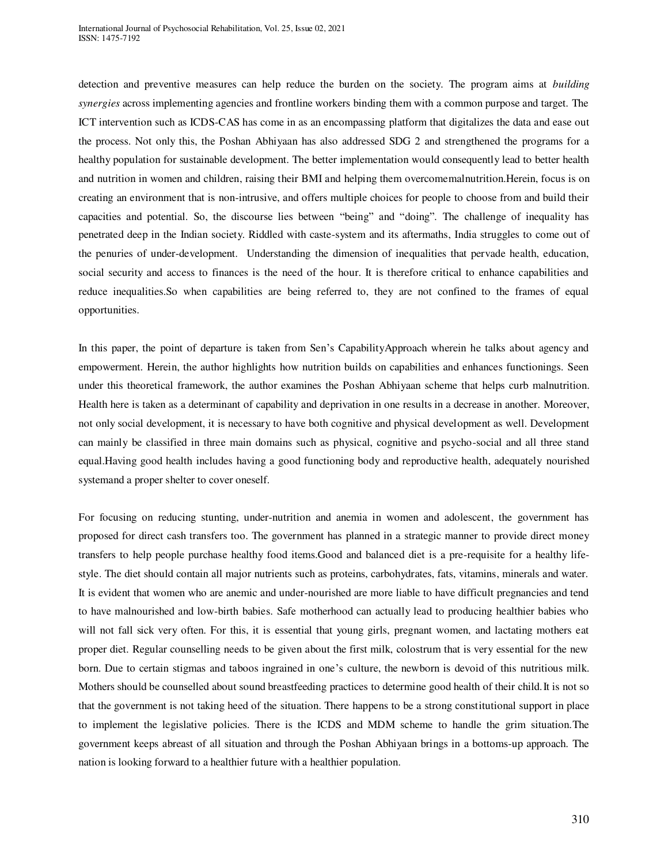detection and preventive measures can help reduce the burden on the society. The program aims at *building synergies* across implementing agencies and frontline workers binding them with a common purpose and target. The ICT intervention such as ICDS-CAS has come in as an encompassing platform that digitalizes the data and ease out the process. Not only this, the Poshan Abhiyaan has also addressed SDG 2 and strengthened the programs for a healthy population for sustainable development. The better implementation would consequently lead to better health and nutrition in women and children, raising their BMI and helping them overcomemalnutrition.Herein, focus is on creating an environment that is non-intrusive, and offers multiple choices for people to choose from and build their capacities and potential. So, the discourse lies between "being" and "doing". The challenge of inequality has penetrated deep in the Indian society. Riddled with caste-system and its aftermaths, India struggles to come out of the penuries of under-development. Understanding the dimension of inequalities that pervade health, education, social security and access to finances is the need of the hour. It is therefore critical to enhance capabilities and reduce inequalities.So when capabilities are being referred to, they are not confined to the frames of equal opportunities.

In this paper, the point of departure is taken from Sen's CapabilityApproach wherein he talks about agency and empowerment. Herein, the author highlights how nutrition builds on capabilities and enhances functionings. Seen under this theoretical framework, the author examines the Poshan Abhiyaan scheme that helps curb malnutrition. Health here is taken as a determinant of capability and deprivation in one results in a decrease in another. Moreover, not only social development, it is necessary to have both cognitive and physical development as well. Development can mainly be classified in three main domains such as physical, cognitive and psycho-social and all three stand equal.Having good health includes having a good functioning body and reproductive health, adequately nourished systemand a proper shelter to cover oneself.

For focusing on reducing stunting, under-nutrition and anemia in women and adolescent, the government has proposed for direct cash transfers too. The government has planned in a strategic manner to provide direct money transfers to help people purchase healthy food items.Good and balanced diet is a pre-requisite for a healthy lifestyle. The diet should contain all major nutrients such as proteins, carbohydrates, fats, vitamins, minerals and water. It is evident that women who are anemic and under-nourished are more liable to have difficult pregnancies and tend to have malnourished and low-birth babies. Safe motherhood can actually lead to producing healthier babies who will not fall sick very often. For this, it is essential that young girls, pregnant women, and lactating mothers eat proper diet. Regular counselling needs to be given about the first milk, colostrum that is very essential for the new born. Due to certain stigmas and taboos ingrained in one's culture, the newborn is devoid of this nutritious milk. Mothers should be counselled about sound breastfeeding practices to determine good health of their child.It is not so that the government is not taking heed of the situation. There happens to be a strong constitutional support in place to implement the legislative policies. There is the ICDS and MDM scheme to handle the grim situation.The government keeps abreast of all situation and through the Poshan Abhiyaan brings in a bottoms-up approach. The nation is looking forward to a healthier future with a healthier population.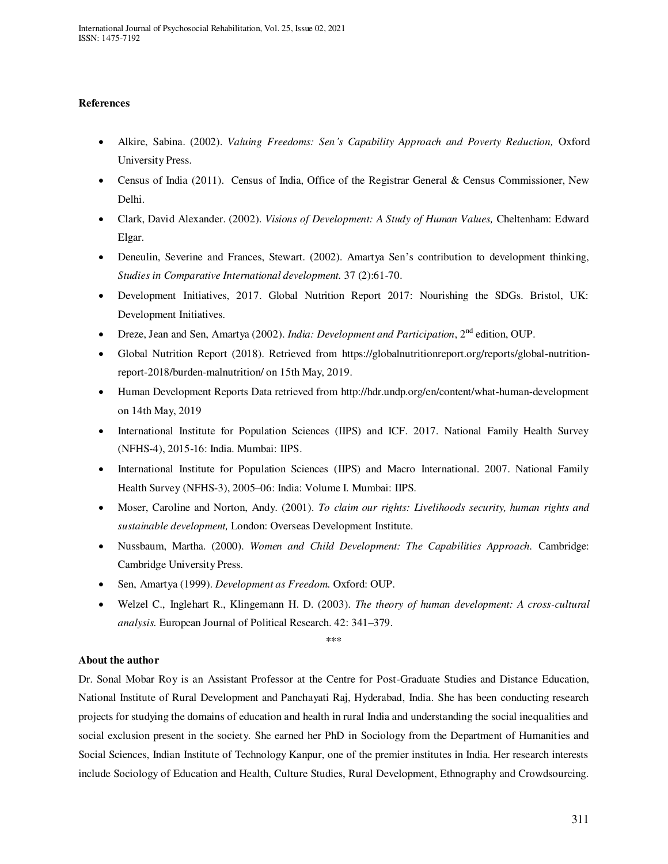## **References**

- Alkire, Sabina. (2002). *Valuing Freedoms: Sen's Capability Approach and Poverty Reduction,* Oxford University Press.
- Census of India (2011). Census of India, Office of the Registrar General & Census Commissioner, New Delhi.
- Clark, David Alexander. (2002). *Visions of Development: A Study of Human Values,* Cheltenham: Edward Elgar.
- Deneulin, Severine and Frances, Stewart. (2002). Amartya Sen's contribution to development thinking, *Studies in Comparative International development.* 37 (2):61-70.
- Development Initiatives, 2017. Global Nutrition Report 2017: Nourishing the SDGs. Bristol, UK: Development Initiatives.
- Dreze, Jean and Sen, Amartya (2002). *India: Development and Participation*, 2nd edition, OUP.
- Global Nutrition Report (2018). Retrieved from [https://globalnutritionreport.org/reports/global-nutrition](https://globalnutritionreport.org/reports/global-nutrition-report-2018/burden-malnutrition/)[report-2018/burden-malnutrition/](https://globalnutritionreport.org/reports/global-nutrition-report-2018/burden-malnutrition/) on 15th May, 2019.
- Human Development Reports Data retrieved from<http://hdr.undp.org/en/content/what-human-development> on 14th May, 2019
- International Institute for Population Sciences (IIPS) and ICF. 2017. National Family Health Survey (NFHS-4), 2015-16: India. Mumbai: IIPS.
- International Institute for Population Sciences (IIPS) and Macro International. 2007. National Family Health Survey (NFHS-3), 2005–06: India: Volume I. Mumbai: IIPS.
- Moser, Caroline and Norton, Andy. (2001). *To claim our rights: Livelihoods security, human rights and sustainable development,* London: Overseas Development Institute.
- Nussbaum, Martha. (2000). *Women and Child Development: The Capabilities Approach.* Cambridge: Cambridge University Press.
- Sen, Amartya (1999). *Development as Freedom.* Oxford: OUP.
- Welzel C., Inglehart R., Klingemann H. D. (2003). *The theory of human development: A cross-cultural analysis.* European Journal of Political Research. 42: 341–379.

\*\*\*

# **About the author**

Dr. Sonal Mobar Roy is an Assistant Professor at the Centre for Post-Graduate Studies and Distance Education, National Institute of Rural Development and Panchayati Raj, Hyderabad, India. She has been conducting research projects for studying the domains of education and health in rural India and understanding the social inequalities and social exclusion present in the society. She earned her PhD in Sociology from the Department of Humanities and Social Sciences, Indian Institute of Technology Kanpur, one of the premier institutes in India. Her research interests include Sociology of Education and Health, Culture Studies, Rural Development, Ethnography and Crowdsourcing.